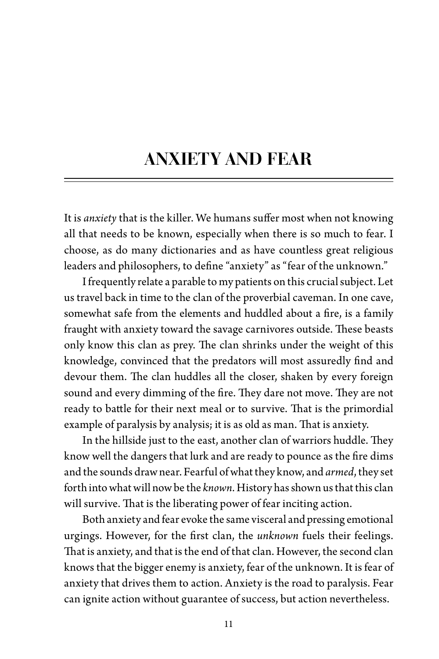## **ANXIETY AND FEAR**

It is *anxiety* that is the killer. We humans suffer most when not knowing all that needs to be known, especially when there is so much to fear. I choose, as do many dictionaries and as have countless great religious leaders and philosophers, to define "anxiety" as "fear of the unknown."

I frequently relate a parable to my patients on this crucial subject. Let us travel back in time to the clan of the proverbial caveman. In one cave, somewhat safe from the elements and huddled about a fire, is a family fraught with anxiety toward the savage carnivores outside. These beasts only know this clan as prey. The clan shrinks under the weight of this knowledge, convinced that the predators will most assuredly find and devour them. The clan huddles all the closer, shaken by every foreign sound and every dimming of the fire. They dare not move. They are not ready to battle for their next meal or to survive. That is the primordial example of paralysis by analysis; it is as old as man. That is anxiety.

In the hillside just to the east, another clan of warriors huddle. They know well the dangers that lurk and are ready to pounce as the fire dims and the sounds draw near. Fearful of what they know, and *armed*, they set forth into what will now be the *known*. History has shown us that this clan will survive. That is the liberating power of fear inciting action.

Both anxiety and fear evoke the same visceral and pressing emotional urgings. However, for the first clan, the *unknown* fuels their feelings. That is anxiety, and that is the end of that clan. However, the second clan knows that the bigger enemy is anxiety, fear of the unknown. It is fear of anxiety that drives them to action. Anxiety is the road to paralysis. Fear can ignite action without guarantee of success, but action nevertheless.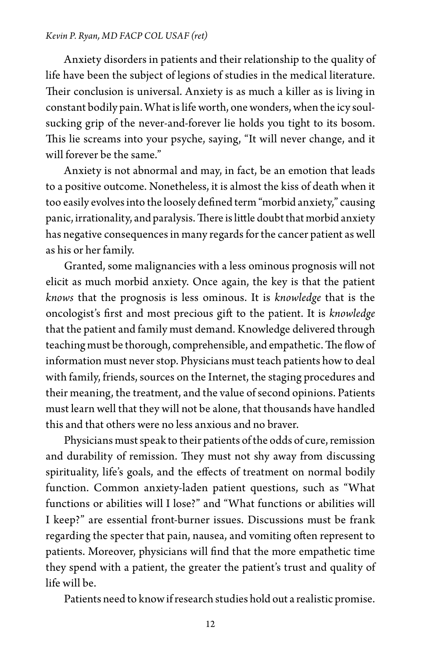## *Kevin P. Ryan, MD FACP COL USAF (ret)*

Anxiety disorders in patients and their relationship to the quality of life have been the subject of legions of studies in the medical literature. Their conclusion is universal. Anxiety is as much a killer as is living in constant bodily pain. What is life worth, one wonders, when the icy soulsucking grip of the never-and-forever lie holds you tight to its bosom. This lie screams into your psyche, saying, "It will never change, and it will forever be the same."

Anxiety is not abnormal and may, in fact, be an emotion that leads to a positive outcome. Nonetheless, it is almost the kiss of death when it too easily evolves into the loosely defined term "morbid anxiety," causing panic, irrationality, and paralysis. There is little doubt that morbid anxiety has negative consequences in many regards for the cancer patient as well as his or her family.

Granted, some malignancies with a less ominous prognosis will not elicit as much morbid anxiety. Once again, the key is that the patient *knows* that the prognosis is less ominous. It is *knowledge* that is the oncologist's first and most precious gift to the patient. It is *knowledge* that the patient and family must demand. Knowledge delivered through teaching must be thorough, comprehensible, and empathetic. The flow of information must never stop. Physicians must teach patients how to deal with family, friends, sources on the Internet, the staging procedures and their meaning, the treatment, and the value of second opinions. Patients must learn well that they will not be alone, that thousands have handled this and that others were no less anxious and no braver.

Physicians must speak to their patients of the odds of cure, remission and durability of remission. They must not shy away from discussing spirituality, life's goals, and the effects of treatment on normal bodily function. Common anxiety-laden patient questions, such as "What functions or abilities will I lose?" and "What functions or abilities will I keep?" are essential front-burner issues. Discussions must be frank regarding the specter that pain, nausea, and vomiting often represent to patients. Moreover, physicians will find that the more empathetic time they spend with a patient, the greater the patient's trust and quality of life will be.

Patients need to know if research studies hold out a realistic promise.